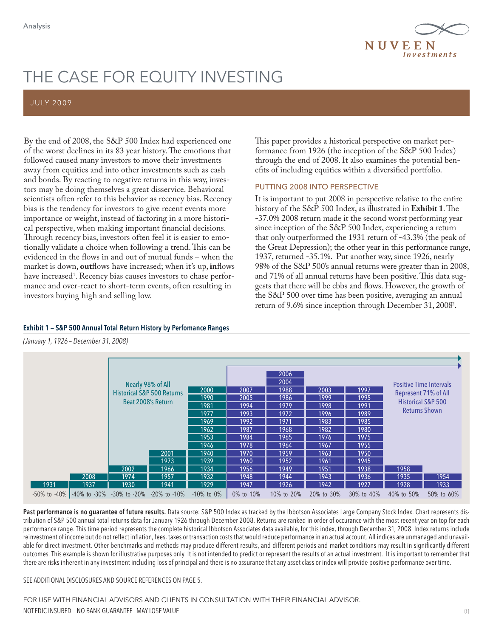

# THE CASE FOR EQUITY INVESTING

# JULY 20 09

By the end of 2008, the S&P 500 Index had experienced one of the worst declines in its 83 year history. The emotions that followed caused many investors to move their investments away from equities and into other investments such as cash and bonds. By reacting to negative returns in this way, investors may be doing themselves a great disservice. Behavioral scientists often refer to this behavior as recency bias. Recency bias is the tendency for investors to give recent events more importance or weight, instead of factoring in a more historical perspective, when making important financial decisions. Through recency bias, investors often feel it is easier to emotionally validate a choice when following a trend. This can be evidenced in the flows in and out of mutual funds – when the market is down, **out**flows have increased; when it's up, **in**flows have increased<sup>1</sup>. Recency bias causes investors to chase performance and over-react to short-term events, often resulting in investors buying high and selling low.

This paper provides a historical perspective on market performance from 1926 (the inception of the S&P 500 Index) through the end of 2008. It also examines the potential benefits of including equities within a diversified portfolio.

# PUTTING 2008 INTO PERSPECTIVE

It is important to put 2008 in perspective relative to the entire history of the S&P 500 Index, as illustrated in **Exhibit 1**. The -37.0% 2008 return made it the second worst performing year since inception of the S&P 500 Index, experiencing a return that only outperformed the 1931 return of -43.3% (the peak of the Great Depression); the other year in this performance range, 1937, returned -35.1%. Put another way, since 1926, nearly 98% of the S&P 500's annual returns were greater than in 2008, and 71% of all annual returns have been positive. This data suggests that there will be ebbs and flows. However, the growth of the S&P 500 over time has been positive, averaging an annual return of 9.6% since inception through December 31, 20082 .

|  |  |  |  | Exhibit 1 – S&P 500 Annual Total Return History by Perfomance Ranges |
|--|--|--|--|----------------------------------------------------------------------|
|--|--|--|--|----------------------------------------------------------------------|

(January 1, 1926 – December 31, 2008)

|                                       | Nearly 98% of All<br><b>Historical S&amp;P 500 Returns</b><br>Beat 2008's Return<br>2002 | 2001<br>1973<br>1966 | 2000<br>1990<br>1981<br>1977<br>1969<br>1962<br>1953<br>1946<br>1940<br>1939<br>1934 | 2007<br>2005<br>1994<br>1993<br>1992<br>1987<br>1984<br>1978<br>1970<br>1960<br>1956 | 2006<br>2004<br>1988<br>1986<br>1979<br>1972<br>1971<br>1968<br>1965<br>1964<br>1959<br>1952<br>1949 | 2003<br>1999<br>1998<br>1996<br>1983<br>1982<br>1976<br>1967<br>1963<br>1961<br>1951 | 1997<br>1995<br>1991<br>1989<br>1985<br>1980<br>1975<br>1955<br>1950<br>1945<br>1938 | <b>Positive Time Intervals</b><br>Represent 71% of All<br><b>Historical S&amp;P 500</b><br><b>Returns Shown</b><br>1958 |            |
|---------------------------------------|------------------------------------------------------------------------------------------|----------------------|--------------------------------------------------------------------------------------|--------------------------------------------------------------------------------------|------------------------------------------------------------------------------------------------------|--------------------------------------------------------------------------------------|--------------------------------------------------------------------------------------|-------------------------------------------------------------------------------------------------------------------------|------------|
| 2008                                  | 1974                                                                                     | 1957                 | 1932                                                                                 | 1948                                                                                 | 1944                                                                                                 | 1943                                                                                 | 1936                                                                                 | 1935                                                                                                                    | 1954       |
| 1931<br>1937                          | 1930                                                                                     | 1941                 | 1929                                                                                 | 1947                                                                                 | 1926                                                                                                 | 1942                                                                                 | 1927                                                                                 | 1928                                                                                                                    | 1933       |
| $-50\%$ to $-40\%$ $-40\%$ to $-30\%$ | -30% to -20%                                                                             | $-20\%$ to $-10\%$   | $-10\%$ to $0\%$                                                                     | 0% to 10%                                                                            | 10% to 20%                                                                                           | 20% to 30%                                                                           | 30% to 40%                                                                           | 40% to 50%                                                                                                              | 50% to 60% |

Past performance is no guarantee of future results. Data source: S&P 500 Index as tracked by the Ibbotson Associates Large Company Stock Index. Chart represents distribution of S&P 500 annual total returns data for January 1926 through December 2008. Returns are ranked in order of occurance with the most recent year on top for each performance range. This time period represents the complete historical Ibbotson Associates data available, for this index, through December 31, 2008. Index returns include reinvestment of income but do not reflect inflation, fees, taxes or transaction costs that would reduce performance in an actual account. All indices are unmanaged and unavailable for direct investment. Other benchmarks and methods may produce different results, and different periods and market conditions may result in significantly different outcomes. This example is shown for illustrative purposes only. It is not intended to predict or represent the results of an actual investment. It is important to remember that there are risks inherent in any investment including loss of principal and there is no assurance that any asset class or index will provide positive performance over time.

SEE ADDITIONAL DISCLOSURES AND SOURCE REFERENCES ON PAGE 5.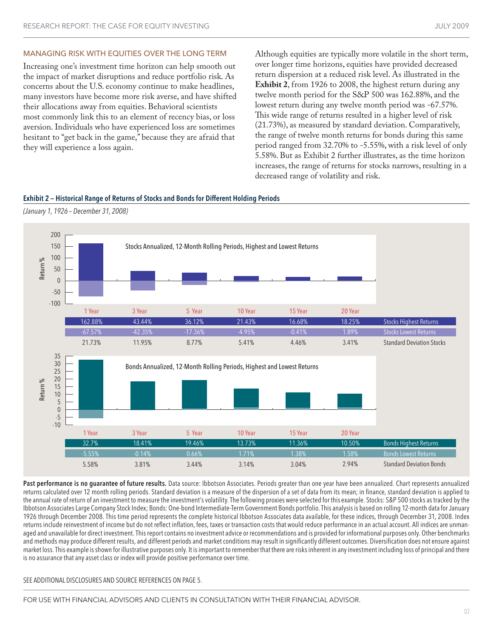#### MANAGING RISK WITH EQUITIES OVER THE LONG TERM

Increasing one's investment time horizon can help smooth out the impact of market disruptions and reduce portfolio risk. As concerns about the U.S. economy continue to make headlines, many investors have become more risk averse, and have shifted their allocations away from equities. Behavioral scientists most commonly link this to an element of recency bias, or loss aversion. Individuals who have experienced loss are sometimes hesitant to "get back in the game," because they are afraid that they will experience a loss again.

Although equities are typically more volatile in the short term, over longer time horizons, equities have provided decreased return dispersion at a reduced risk level. As illustrated in the **Exhibit 2**, from 1926 to 2008, the highest return during any twelve month period for the S&P 500 was 162.88%, and the lowest return during any twelve month period was -67.57%. This wide range of returns resulted in a higher level of risk (21.73%), as measured by standard deviation. Comparatively, the range of twelve month returns for bonds during this same period ranged from 32.70% to -5.55%, with a risk level of only 5.58%. But as Exhibit 2 further illustrates, as the time horizon increases, the range of returns for stocks narrows, resulting in a decreased range of volatility and risk.

Exhibit 2 — Historical Range of Returns of Stocks and Bonds for Different Holding Periods





Past performance is no quarantee of future results. Data source: Ibbotson Associates. Periods greater than one year have been annualized. Chart represents annualized returns calculated over 12 month rolling periods. Standard deviation is a measure of the dispersion of a set of data from its mean; in finance, standard deviation is applied to the annual rate of return of an investment to measure the investment's volatility. The following proxies were selected for this example. Stocks: S&P 500 stocks as tracked by the Ibbotson Associates Large Company Stock Index; Bonds: One-bond Intermediate-Term Government Bonds portfolio. This analysis is based on rolling 12-month data for January 1926 through December 2008. This time period represents the complete historical Ibbotson Associates data available, for these indices, through December 31, 2008. Index returns include reinvestment of income but do not reflect inflation, fees, taxes or transaction costs that would reduce performance in an actual account. All indices are unmanaged and unavailable for direct investment. This report contains no investment advice or recommendations and is provided for informational purposes only. Other benchmarks and methods may produce different results, and different periods and market conditions may result in significantly different outcomes. Diversification does not ensure against market loss. This example is shown for illustrative purposes only. It is important to remember that there are risks inherent in any investment including loss of principal and there is no assurance that any asset class or index will provide positive performance over time.

SEE ADDITIONAL DISCLOSURES AND SOURCE REFERENCES ON PAGE 5.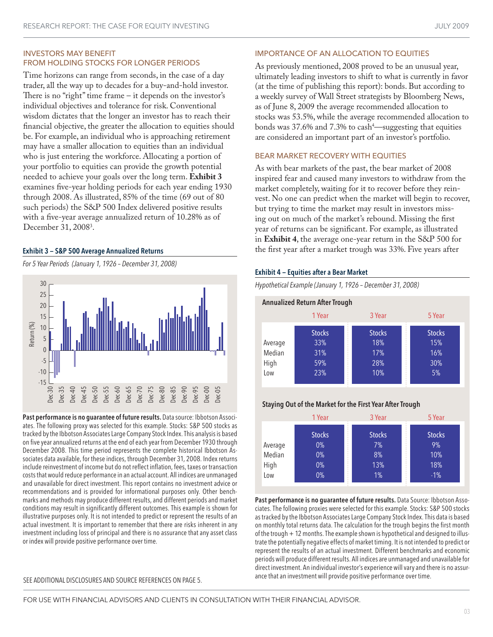# INVESTORS MAY BENEFIT FROM HOLDING STOCKS FOR LONGER PERIODS

Time horizons can range from seconds, in the case of a day trader, all the way up to decades for a buy-and-hold investor. There is no "right" time frame – it depends on the investor's individual objectives and tolerance for risk. Conventional wisdom dictates that the longer an investor has to reach their financial objective, the greater the allocation to equities should be. For example, an individual who is approaching retirement may have a smaller allocation to equities than an individual who is just entering the workforce. Allocating a portion of your portfolio to equities can provide the growth potential needed to achieve your goals over the long term. **Exhibit 3** examines five-year holding periods for each year ending 1930 through 2008. As illustrated, 85% of the time (69 out of 80 such periods) the S&P 500 Index delivered positive results with a five-year average annualized return of 10.28% as of December 31, 2008<sup>3</sup>.

For 5 Year Periods (January 1, 1926 – December 31, 2008)



Past performance is no guarantee of future results. Data source: Ibbotson Associates. The following proxy was selected for this example. Stocks: S&P 500 stocks as tracked by the Ibbotson Associates Large Company Stock Index. This analysis is based on five year annualized returns at the end of each year from December 1930 through December 2008. This time period represents the complete historical Ibbotson Associates data available, for these indices, through December 31, 2008. Index returns include reinvestment of income but do not reflect inflation, fees, taxes or transaction costs that would reduce performance in an actual account. All indices are unmanaged and unavailable for direct investment. This report contains no investment advice or recommendations and is provided for informational purposes only. Other benchmarks and methods may produce different results, and different periods and market conditions may result in significantly different outcomes. This example is shown for illustrative purposes only. It is not intended to predict or represent the results of an actual investment. It is important to remember that there are risks inherent in any investment including loss of principal and there is no assurance that any asset class or index will provide positive performance over time.

#### SEE ADDITIONAL DISCLOSURES AND SOURCE REFERENCES ON PAGE 5.

# IMPORTANCE OF AN ALLOCATION TO EQUITIES

As previously mentioned, 2008 proved to be an unusual year, ultimately leading investors to shift to what is currently in favor (at the time of publishing this report): bonds. But according to a weekly survey of Wall Street strategists by Bloomberg News, as of June 8, 2009 the average recommended allocation to stocks was 53.5%, while the average recommended allocation to bonds was 37.6% and 7.3% to cash<sup>4</sup>—suggesting that equities are considered an important part of an investor's portfolio.

# BEAR MARKET RECOVERY WITH EQUITIES

As with bear markets of the past, the bear market of 2008 inspired fear and caused many investors to withdraw from the market completely, waiting for it to recover before they reinvest. No one can predict when the market will begin to recover, but trying to time the market may result in investors missing out on much of the market's rebound. Missing the first year of returns can be significant. For example, as illustrated in **Exhibit 4**, the average one-year return in the S&P 500 for Exhibit 3 - S&P 500 Average Annualized Returns the first year after a market trough was 33%. Five years after

#### Exhibit 4 — Equities after a Bear Market

Hypothetical Example (January 1, 1926 – December 31, 2008)

| <b>Annualized Return After Trough</b> |                                           |                                           |                                          |  |  |  |
|---------------------------------------|-------------------------------------------|-------------------------------------------|------------------------------------------|--|--|--|
|                                       | 1 Year                                    | 3 Year                                    | 5 Year                                   |  |  |  |
| Average<br>Median<br>High<br>Low      | <b>Stocks</b><br>33%<br>31%<br>59%<br>23% | <b>Stocks</b><br>18%<br>17%<br>28%<br>10% | <b>Stocks</b><br>15%<br>16%<br>30%<br>5% |  |  |  |

# Staying Out of the Market for the First Year After Trough

|                                  | 1 Year                                         | 3 Year                                 | 5 Year                                      |
|----------------------------------|------------------------------------------------|----------------------------------------|---------------------------------------------|
| Average<br>Median<br>High<br>Low | <b>Stocks</b><br>$0\%$<br>$0\%$<br>$0\%$<br>0% | <b>Stocks</b><br>7%<br>8%<br>13%<br>1% | <b>Stocks</b><br>9%<br>10%<br>18%<br>$-1\%$ |

Past performance is no guarantee of future results. Data Source: Ibbotson Associates. The following proxies were selected for this example. Stocks: S&P 500 stocks as tracked by the Ibbotson Associates Large Company Stock Index. This data is based on monthly total returns data. The calculation for the trough begins the first month of the trough + 12 months. The example shown is hypothetical and designed to illustrate the potentially negative effects of market timing. It is not intended to predict or represent the results of an actual investment. Different benchmarks and economic periods will produce different results. All indices are unmanaged and unavailable for direct investment. An individual investor's experience will vary and there is no assurance that an investment will provide positive performance over time.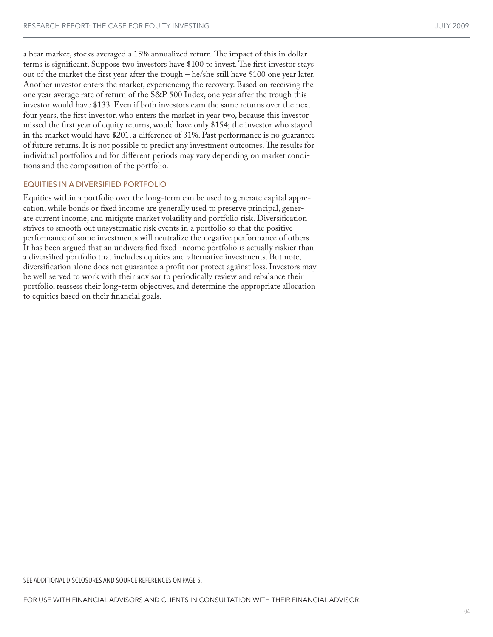a bear market, stocks averaged a 15% annualized return. The impact of this in dollar terms is significant. Suppose two investors have \$100 to invest. The first investor stays out of the market the first year after the trough – he/she still have \$100 one year later. Another investor enters the market, experiencing the recovery. Based on receiving the one year average rate of return of the S&P 500 Index, one year after the trough this investor would have \$133. Even if both investors earn the same returns over the next four years, the first investor, who enters the market in year two, because this investor missed the first year of equity returns, would have only \$154; the investor who stayed in the market would have \$201, a difference of 31%. Past performance is no guarantee of future returns. It is not possible to predict any investment outcomes. The results for individual portfolios and for different periods may vary depending on market conditions and the composition of the portfolio.

# EQUITIES IN A DIVERSIFIED PORTFOLIO

Equities within a portfolio over the long-term can be used to generate capital apprecation, while bonds or fixed income are generally used to preserve principal, generate current income, and mitigate market volatility and portfolio risk. Diversification strives to smooth out unsystematic risk events in a portfolio so that the positive performance of some investments will neutralize the negative performance of others. It has been argued that an undiversified fixed-income portfolio is actually riskier than a diversified portfolio that includes equities and alternative investments. But note, diversification alone does not guarantee a profit nor protect against loss. Investors may be well served to work with their advisor to periodically review and rebalance their portfolio, reassess their long-term objectives, and determine the appropriate allocation to equities based on their financial goals.

SEE ADDITIONAL DISCLOSURES AND SOURCE REFERENCES ON PAGE 5.